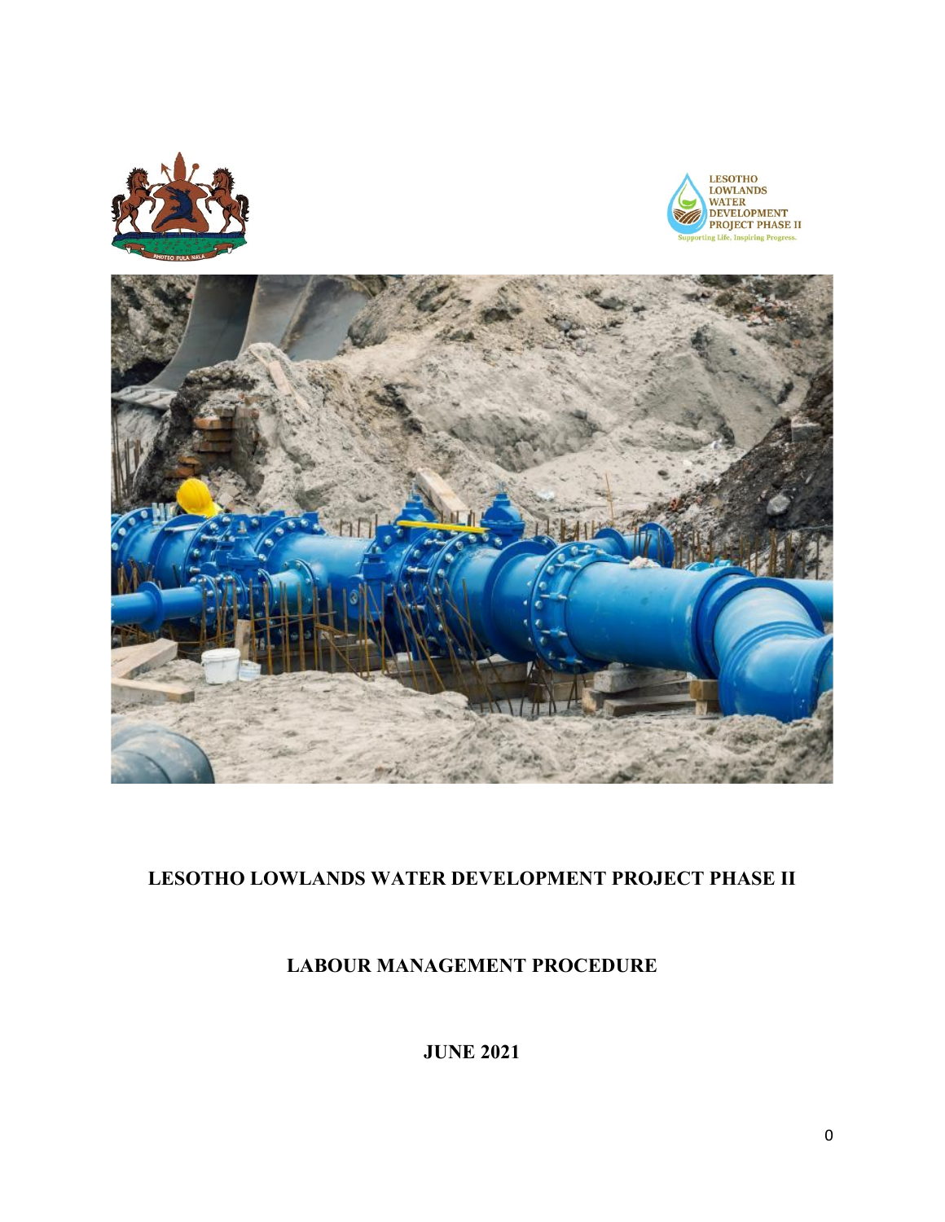





## **LESOTHO LOWLANDS WATER DEVELOPMENT PROJECT PHASE II**

## **LABOUR MANAGEMENT PROCEDURE**

**JUNE 2021**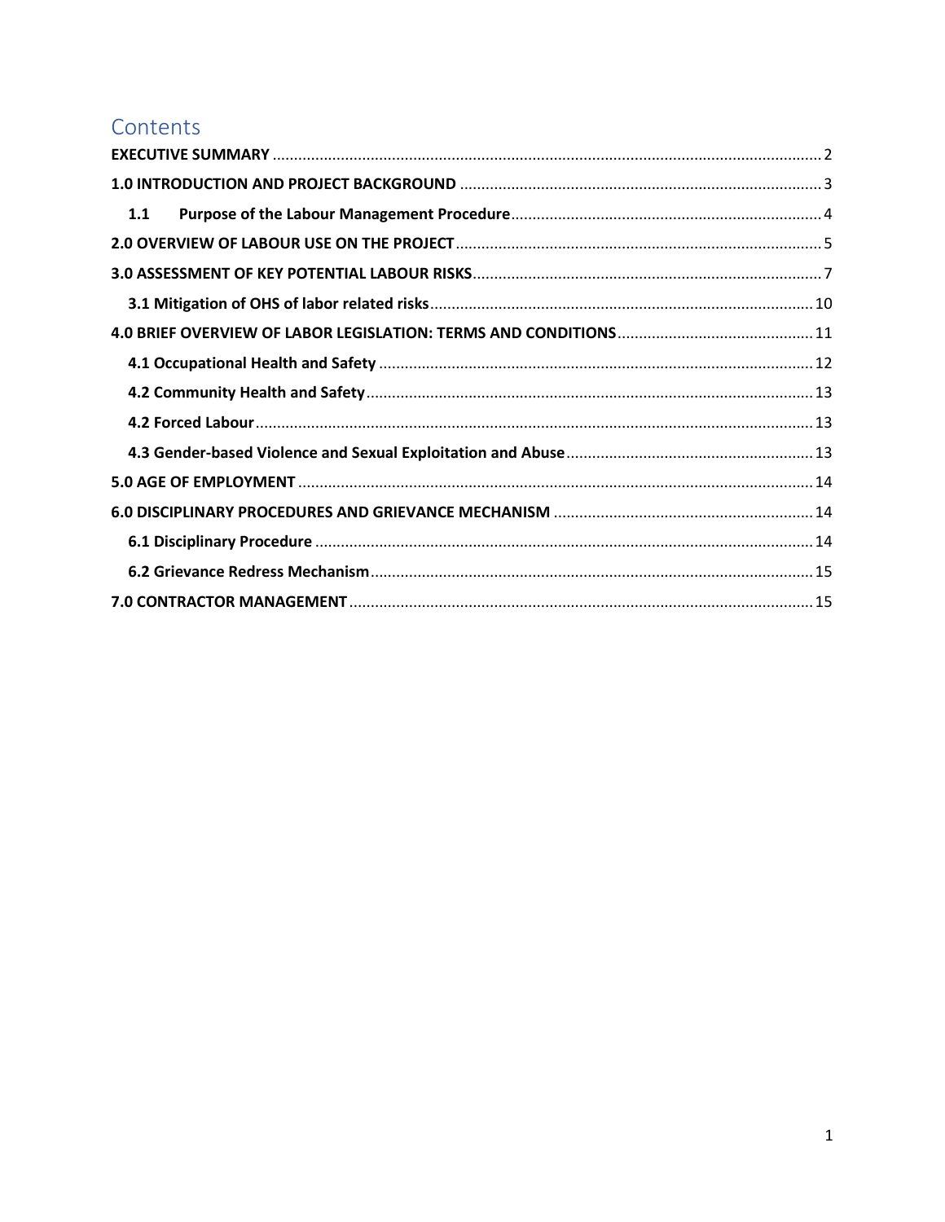## Contents

| 1.1 |  |
|-----|--|
|     |  |
|     |  |
|     |  |
|     |  |
|     |  |
|     |  |
|     |  |
|     |  |
|     |  |
|     |  |
|     |  |
|     |  |
|     |  |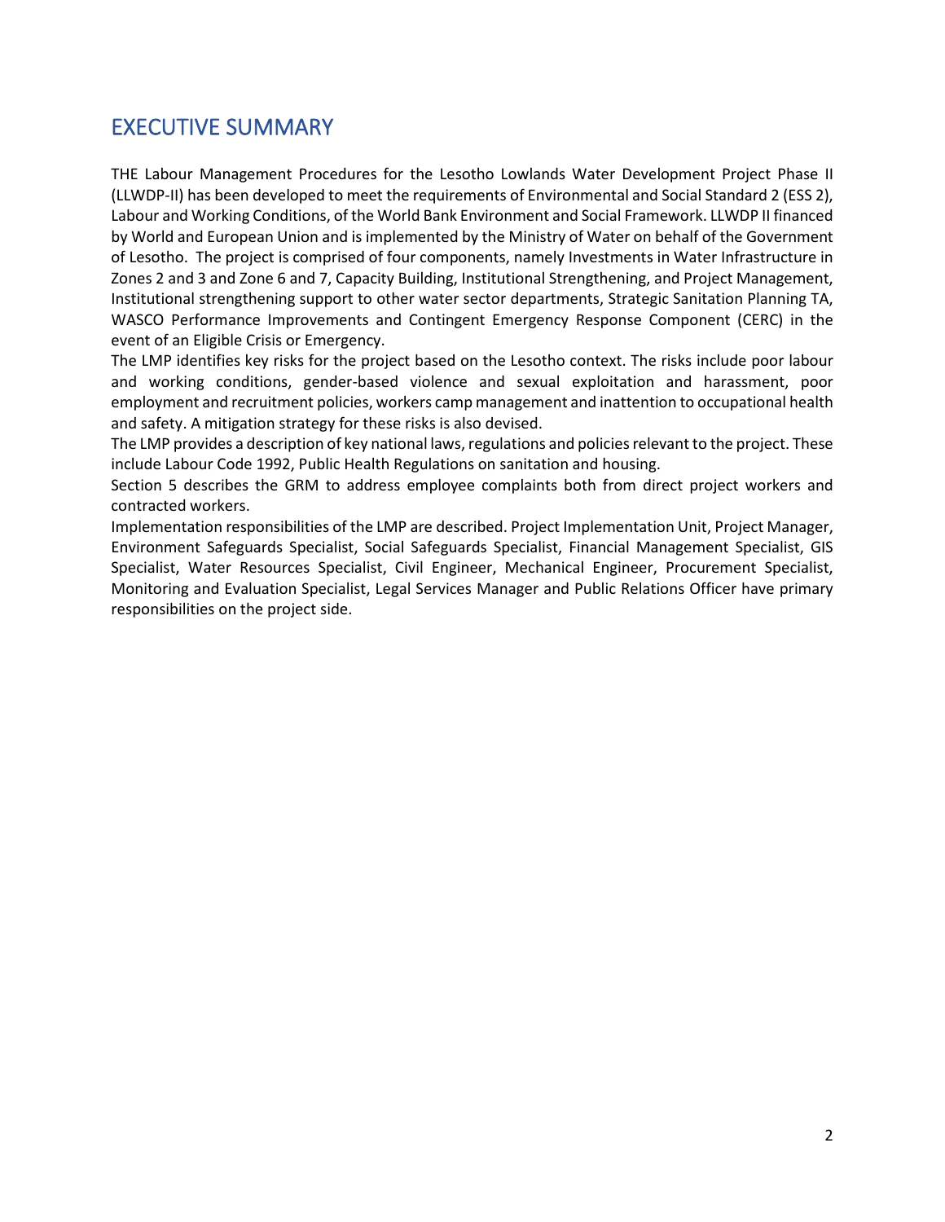## <span id="page-2-0"></span>EXECUTIVE SUMMARY

THE Labour Management Procedures for the Lesotho Lowlands Water Development Project Phase II (LLWDP-II) has been developed to meet the requirements of Environmental and Social Standard 2 (ESS 2), Labour and Working Conditions, of the World Bank Environment and Social Framework. LLWDP II financed by World and European Union and is implemented by the Ministry of Water on behalf of the Government of Lesotho. The project is comprised of four components, namely Investments in Water Infrastructure in Zones 2 and 3 and Zone 6 and 7, Capacity Building, Institutional Strengthening, and Project Management, Institutional strengthening support to other water sector departments, Strategic Sanitation Planning TA, WASCO Performance Improvements and Contingent Emergency Response Component (CERC) in the event of an Eligible Crisis or Emergency.

The LMP identifies key risks for the project based on the Lesotho context. The risks include poor labour and working conditions, gender-based violence and sexual exploitation and harassment, poor employment and recruitment policies, workers camp management and inattention to occupational health and safety. A mitigation strategy for these risks is also devised.

The LMP provides a description of key national laws, regulations and policies relevant to the project. These include Labour Code 1992, Public Health Regulations on sanitation and housing.

Section 5 describes the GRM to address employee complaints both from direct project workers and contracted workers.

Implementation responsibilities of the LMP are described. Project Implementation Unit, Project Manager, Environment Safeguards Specialist, Social Safeguards Specialist, Financial Management Specialist, GIS Specialist, Water Resources Specialist, Civil Engineer, Mechanical Engineer, Procurement Specialist, Monitoring and Evaluation Specialist, Legal Services Manager and Public Relations Officer have primary responsibilities on the project side.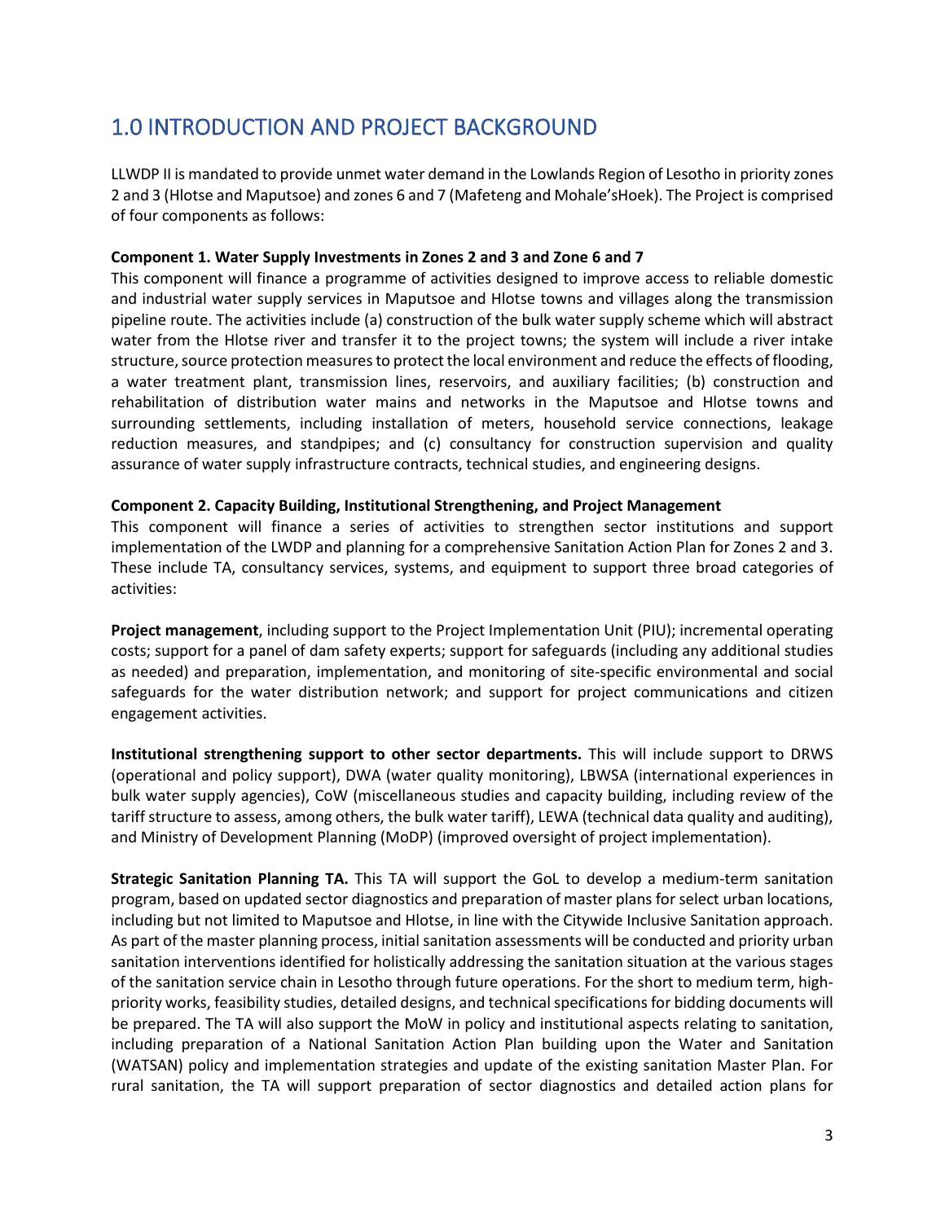# <span id="page-3-0"></span>1.0 INTRODUCTION AND PROJECT BACKGROUND

LLWDP II is mandated to provide unmet water demand in the Lowlands Region of Lesotho in priority zones 2 and 3 (Hlotse and Maputsoe) and zones 6 and 7 (Mafeteng and Mohale'sHoek). The Project is comprised of four components as follows:

#### **Component 1. Water Supply Investments in Zones 2 and 3 and Zone 6 and 7**

This component will finance a programme of activities designed to improve access to reliable domestic and industrial water supply services in Maputsoe and Hlotse towns and villages along the transmission pipeline route. The activities include (a) construction of the bulk water supply scheme which will abstract water from the Hlotse river and transfer it to the project towns; the system will include a river intake structure, source protection measures to protect the local environment and reduce the effects of flooding, a water treatment plant, transmission lines, reservoirs, and auxiliary facilities; (b) construction and rehabilitation of distribution water mains and networks in the Maputsoe and Hlotse towns and surrounding settlements, including installation of meters, household service connections, leakage reduction measures, and standpipes; and (c) consultancy for construction supervision and quality assurance of water supply infrastructure contracts, technical studies, and engineering designs.

#### **Component 2. Capacity Building, Institutional Strengthening, and Project Management**

This component will finance a series of activities to strengthen sector institutions and support implementation of the LWDP and planning for a comprehensive Sanitation Action Plan for Zones 2 and 3. These include TA, consultancy services, systems, and equipment to support three broad categories of activities:

**Project management**, including support to the Project Implementation Unit (PIU); incremental operating costs; support for a panel of dam safety experts; support for safeguards (including any additional studies as needed) and preparation, implementation, and monitoring of site-specific environmental and social safeguards for the water distribution network; and support for project communications and citizen engagement activities.

**Institutional strengthening support to other sector departments.** This will include support to DRWS (operational and policy support), DWA (water quality monitoring), LBWSA (international experiences in bulk water supply agencies), CoW (miscellaneous studies and capacity building, including review of the tariff structure to assess, among others, the bulk water tariff), LEWA (technical data quality and auditing), and Ministry of Development Planning (MoDP) (improved oversight of project implementation).

**Strategic Sanitation Planning TA.** This TA will support the GoL to develop a medium-term sanitation program, based on updated sector diagnostics and preparation of master plans for select urban locations, including but not limited to Maputsoe and Hlotse, in line with the Citywide Inclusive Sanitation approach. As part of the master planning process, initial sanitation assessments will be conducted and priority urban sanitation interventions identified for holistically addressing the sanitation situation at the various stages of the sanitation service chain in Lesotho through future operations. For the short to medium term, highpriority works, feasibility studies, detailed designs, and technical specifications for bidding documents will be prepared. The TA will also support the MoW in policy and institutional aspects relating to sanitation, including preparation of a National Sanitation Action Plan building upon the Water and Sanitation (WATSAN) policy and implementation strategies and update of the existing sanitation Master Plan. For rural sanitation, the TA will support preparation of sector diagnostics and detailed action plans for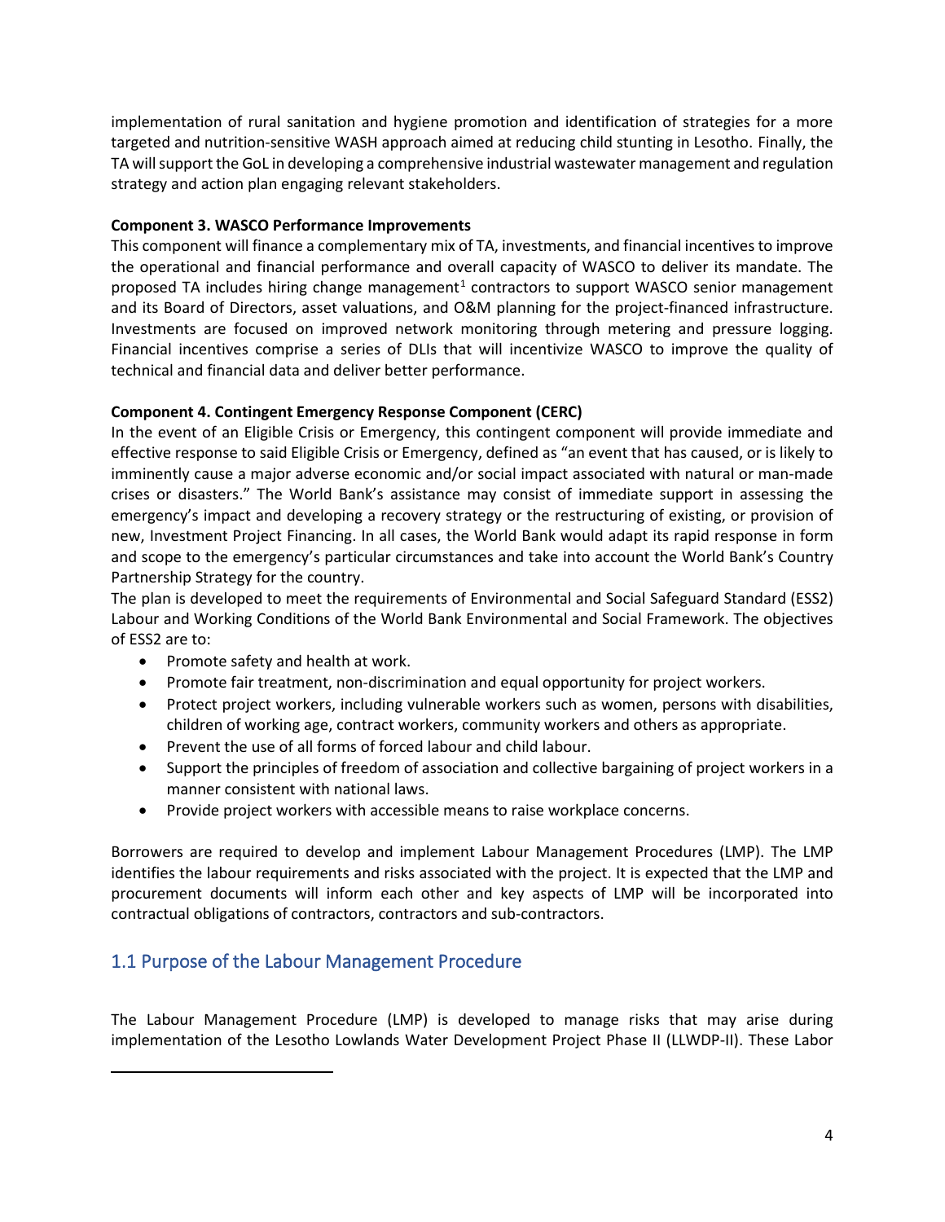implementation of rural sanitation and hygiene promotion and identification of strategies for a more targeted and nutrition-sensitive WASH approach aimed at reducing child stunting in Lesotho. Finally, the TA will support the GoL in developing a comprehensive industrial wastewater management and regulation strategy and action plan engaging relevant stakeholders.

#### **Component 3. WASCO Performance Improvements**

This component will finance a complementary mix of TA, investments, and financial incentives to improve the operational and financial performance and overall capacity of WASCO to deliver its mandate. The proposed TA includes hiring change management<sup>[1](#page-4-1)</sup> contractors to support WASCO senior management and its Board of Directors, asset valuations, and O&M planning for the project-financed infrastructure. Investments are focused on improved network monitoring through metering and pressure logging. Financial incentives comprise a series of DLIs that will incentivize WASCO to improve the quality of technical and financial data and deliver better performance.

#### **Component 4. Contingent Emergency Response Component (CERC)**

In the event of an Eligible Crisis or Emergency, this contingent component will provide immediate and effective response to said Eligible Crisis or Emergency, defined as "an event that has caused, or is likely to imminently cause a major adverse economic and/or social impact associated with natural or man-made crises or disasters." The World Bank's assistance may consist of immediate support in assessing the emergency's impact and developing a recovery strategy or the restructuring of existing, or provision of new, Investment Project Financing. In all cases, the World Bank would adapt its rapid response in form and scope to the emergency's particular circumstances and take into account the World Bank's Country Partnership Strategy for the country.

The plan is developed to meet the requirements of Environmental and Social Safeguard Standard (ESS2) Labour and Working Conditions of the World Bank Environmental and Social Framework. The objectives of ESS2 are to:

- Promote safety and health at work.
- Promote fair treatment, non-discrimination and equal opportunity for project workers.
- Protect project workers, including vulnerable workers such as women, persons with disabilities, children of working age, contract workers, community workers and others as appropriate.
- Prevent the use of all forms of forced labour and child labour.
- Support the principles of freedom of association and collective bargaining of project workers in a manner consistent with national laws.
- Provide project workers with accessible means to raise workplace concerns.

Borrowers are required to develop and implement Labour Management Procedures (LMP). The LMP identifies the labour requirements and risks associated with the project. It is expected that the LMP and procurement documents will inform each other and key aspects of LMP will be incorporated into contractual obligations of contractors, contractors and sub-contractors.

## <span id="page-4-0"></span>1.1 Purpose of the Labour Management Procedure

<span id="page-4-1"></span>The Labour Management Procedure (LMP) is developed to manage risks that may arise during implementation of the Lesotho Lowlands Water Development Project Phase II (LLWDP-II). These Labor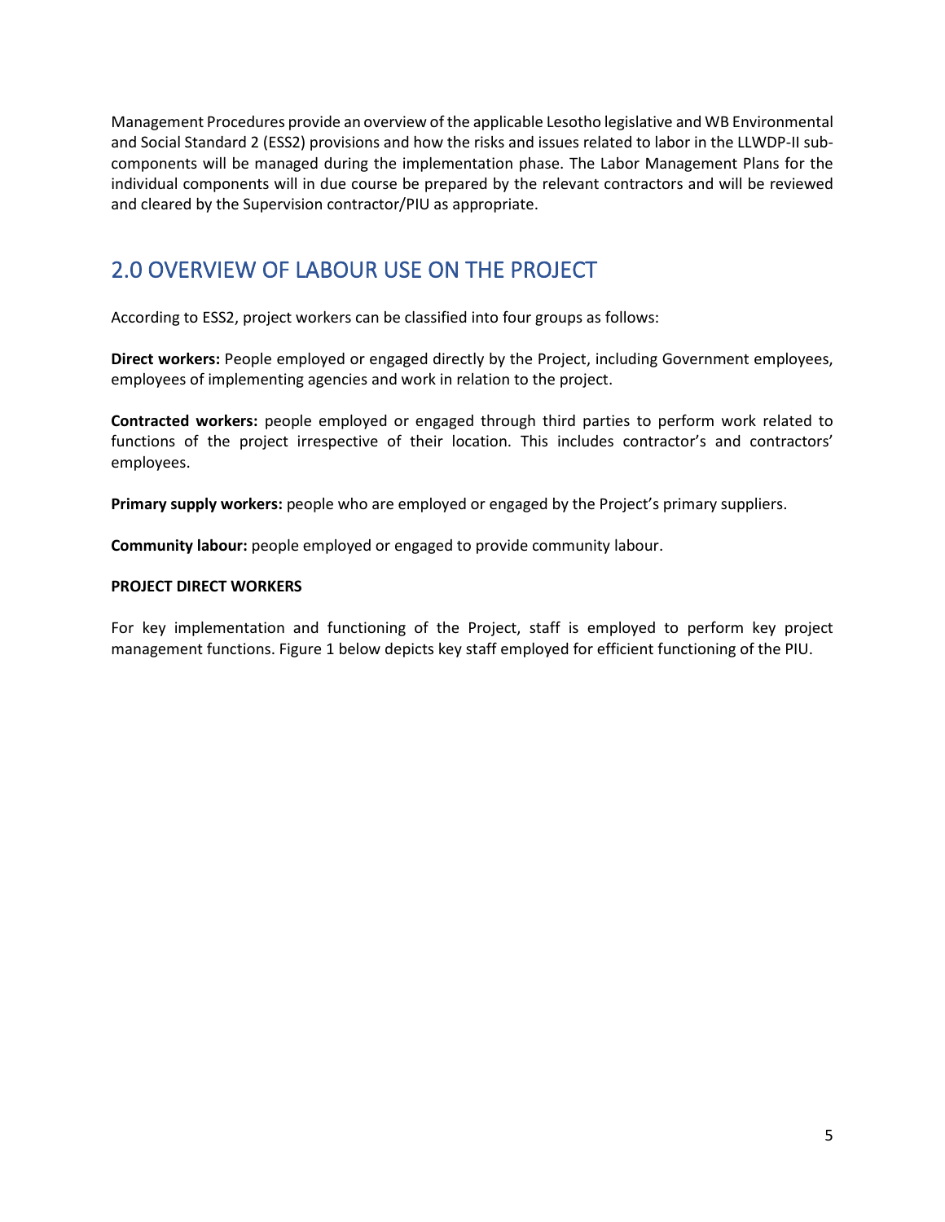Management Procedures provide an overview of the applicable Lesotho legislative and WB Environmental and Social Standard 2 (ESS2) provisions and how the risks and issues related to labor in the LLWDP-II subcomponents will be managed during the implementation phase. The Labor Management Plans for the individual components will in due course be prepared by the relevant contractors and will be reviewed and cleared by the Supervision contractor/PIU as appropriate.

# <span id="page-5-0"></span>2.0 OVERVIEW OF LABOUR USE ON THE PROJECT

According to ESS2, project workers can be classified into four groups as follows:

**Direct workers:** People employed or engaged directly by the Project, including Government employees, employees of implementing agencies and work in relation to the project.

**Contracted workers:** people employed or engaged through third parties to perform work related to functions of the project irrespective of their location. This includes contractor's and contractors' employees.

**Primary supply workers:** people who are employed or engaged by the Project's primary suppliers.

**Community labour:** people employed or engaged to provide community labour.

#### **PROJECT DIRECT WORKERS**

For key implementation and functioning of the Project, staff is employed to perform key project management functions. Figure 1 below depicts key staff employed for efficient functioning of the PIU.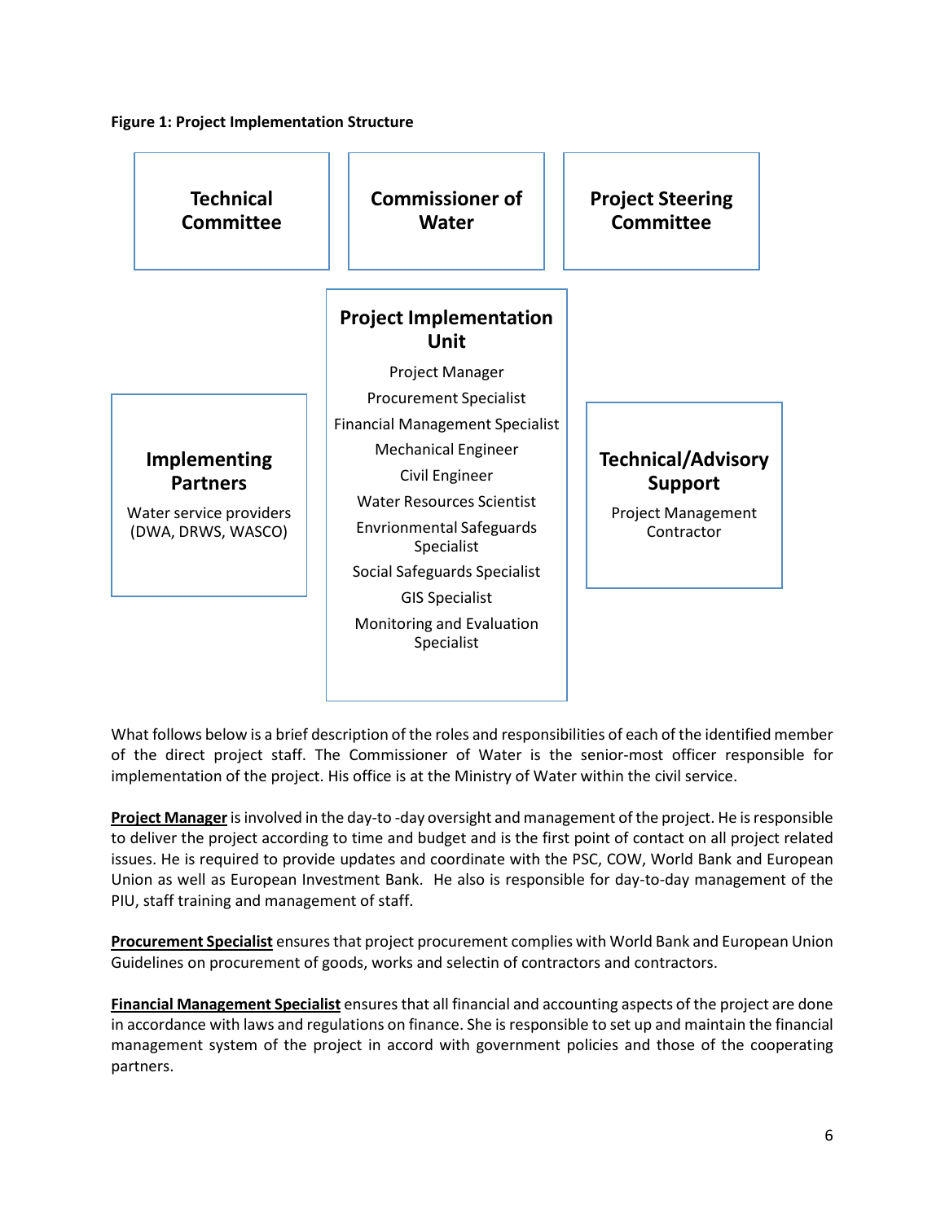#### **Figure 1: Project Implementation Structure**



What follows below is a brief description of the roles and responsibilities of each of the identified member of the direct project staff. The Commissioner of Water is the senior-most officer responsible for implementation of the project. His office is at the Ministry of Water within the civil service.

**Project Manager**is involved in the day-to -day oversight and management of the project. He is responsible to deliver the project according to time and budget and is the first point of contact on all project related issues. He is required to provide updates and coordinate with the PSC, COW, World Bank and European Union as well as European Investment Bank. He also is responsible for day-to-day management of the PIU, staff training and management of staff.

**Procurement Specialist** ensures that project procurement complies with World Bank and European Union Guidelines on procurement of goods, works and selectin of contractors and contractors.

**Financial Management Specialist** ensures that all financial and accounting aspects of the project are done in accordance with laws and regulations on finance. She is responsible to set up and maintain the financial management system of the project in accord with government policies and those of the cooperating partners.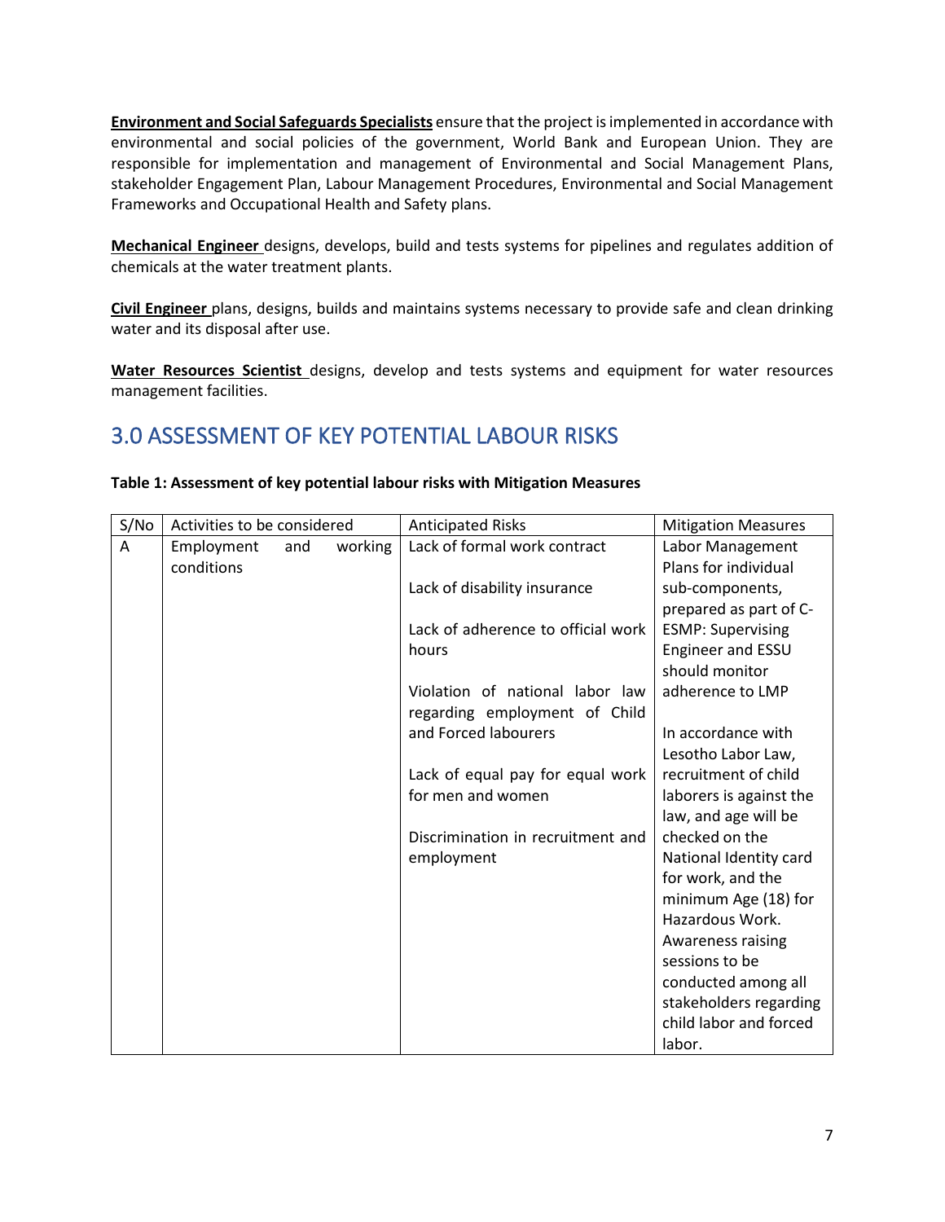**Environment and Social Safeguards Specialists** ensure that the project is implemented in accordance with environmental and social policies of the government, World Bank and European Union. They are responsible for implementation and management of Environmental and Social Management Plans, stakeholder Engagement Plan, Labour Management Procedures, Environmental and Social Management Frameworks and Occupational Health and Safety plans.

**Mechanical Engineer** designs, develops, build and tests systems for pipelines and regulates addition of chemicals at the water treatment plants.

**Civil Engineer** plans, designs, builds and maintains systems necessary to provide safe and clean drinking water and its disposal after use.

**Water Resources Scientist** designs, develop and tests systems and equipment for water resources management facilities.

# <span id="page-7-0"></span>3.0 ASSESSMENT OF KEY POTENTIAL LABOUR RISKS

| S/No | Activities to be considered |     |         | <b>Anticipated Risks</b>           | <b>Mitigation Measures</b> |
|------|-----------------------------|-----|---------|------------------------------------|----------------------------|
| A    | Employment                  | and | working | Lack of formal work contract       | Labor Management           |
|      | conditions                  |     |         |                                    | Plans for individual       |
|      |                             |     |         | Lack of disability insurance       | sub-components,            |
|      |                             |     |         |                                    | prepared as part of C-     |
|      |                             |     |         | Lack of adherence to official work | <b>ESMP: Supervising</b>   |
|      |                             |     |         | hours                              | Engineer and ESSU          |
|      |                             |     |         |                                    | should monitor             |
|      |                             |     |         | Violation of national labor law    | adherence to LMP           |
|      |                             |     |         | regarding employment of Child      |                            |
|      |                             |     |         | and Forced labourers               | In accordance with         |
|      |                             |     |         |                                    | Lesotho Labor Law,         |
|      |                             |     |         | Lack of equal pay for equal work   | recruitment of child       |
|      |                             |     |         | for men and women                  | laborers is against the    |
|      |                             |     |         |                                    | law, and age will be       |
|      |                             |     |         | Discrimination in recruitment and  | checked on the             |
|      |                             |     |         | employment                         | National Identity card     |
|      |                             |     |         |                                    | for work, and the          |
|      |                             |     |         |                                    | minimum Age (18) for       |
|      |                             |     |         |                                    | Hazardous Work.            |
|      |                             |     |         |                                    | Awareness raising          |
|      |                             |     |         |                                    | sessions to be             |
|      |                             |     |         |                                    | conducted among all        |
|      |                             |     |         |                                    | stakeholders regarding     |
|      |                             |     |         |                                    | child labor and forced     |
|      |                             |     |         |                                    | labor.                     |

#### **Table 1: Assessment of key potential labour risks with Mitigation Measures**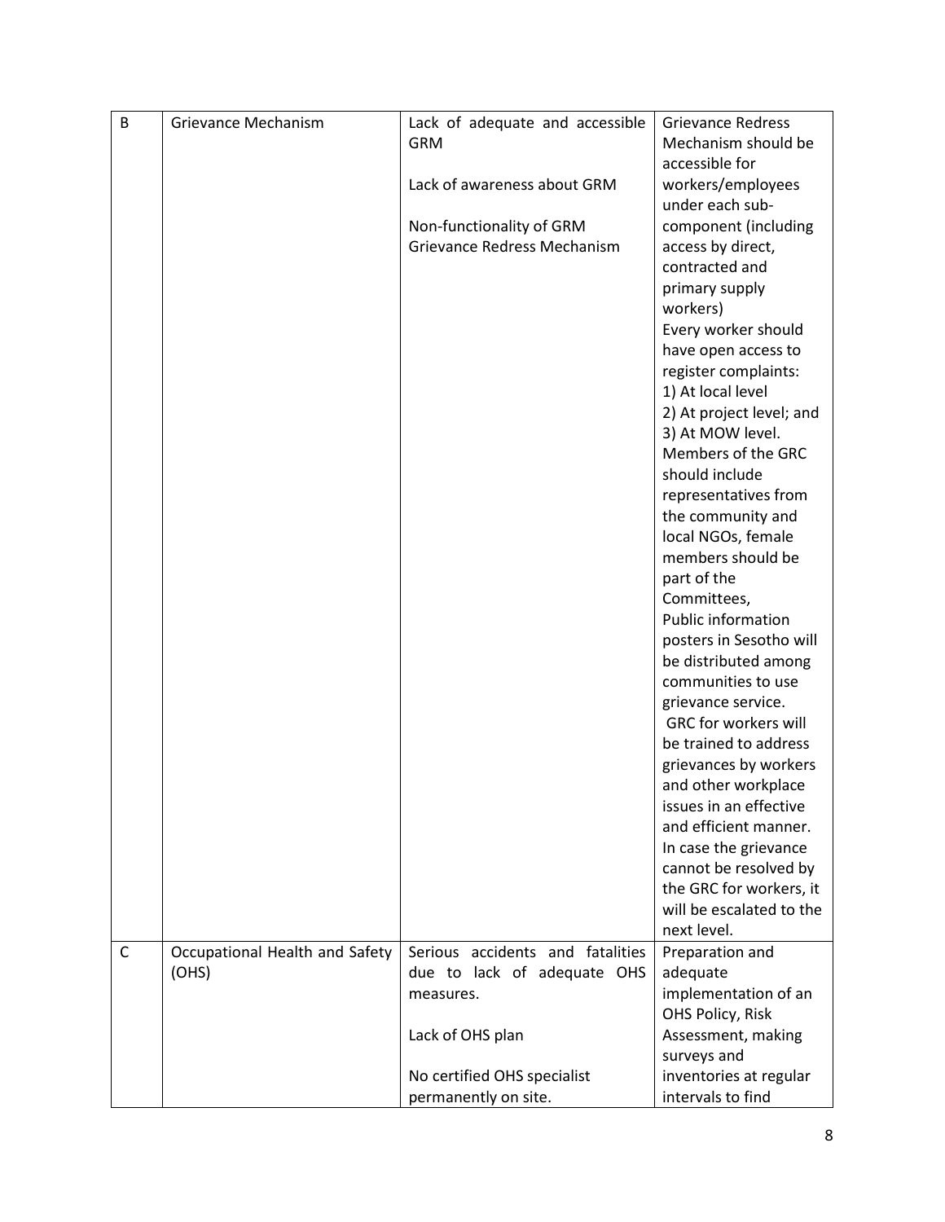| B            | Grievance Mechanism            | Lack of adequate and accessible  | <b>Grievance Redress</b>               |
|--------------|--------------------------------|----------------------------------|----------------------------------------|
|              |                                | <b>GRM</b>                       | Mechanism should be                    |
|              |                                |                                  | accessible for                         |
|              |                                | Lack of awareness about GRM      | workers/employees                      |
|              |                                |                                  | under each sub-                        |
|              |                                | Non-functionality of GRM         | component (including                   |
|              |                                | Grievance Redress Mechanism      | access by direct,                      |
|              |                                |                                  | contracted and                         |
|              |                                |                                  | primary supply                         |
|              |                                |                                  | workers)                               |
|              |                                |                                  | Every worker should                    |
|              |                                |                                  | have open access to                    |
|              |                                |                                  | register complaints:                   |
|              |                                |                                  |                                        |
|              |                                |                                  | 1) At local level                      |
|              |                                |                                  | 2) At project level; and               |
|              |                                |                                  | 3) At MOW level.<br>Members of the GRC |
|              |                                |                                  | should include                         |
|              |                                |                                  |                                        |
|              |                                |                                  | representatives from                   |
|              |                                |                                  | the community and                      |
|              |                                |                                  | local NGOs, female                     |
|              |                                |                                  | members should be                      |
|              |                                |                                  | part of the                            |
|              |                                |                                  | Committees,                            |
|              |                                |                                  | Public information                     |
|              |                                |                                  | posters in Sesotho will                |
|              |                                |                                  | be distributed among                   |
|              |                                |                                  | communities to use                     |
|              |                                |                                  | grievance service.                     |
|              |                                |                                  | <b>GRC for workers will</b>            |
|              |                                |                                  | be trained to address                  |
|              |                                |                                  | grievances by workers                  |
|              |                                |                                  | and other workplace                    |
|              |                                |                                  | issues in an effective                 |
|              |                                |                                  | and efficient manner.                  |
|              |                                |                                  | In case the grievance                  |
|              |                                |                                  | cannot be resolved by                  |
|              |                                |                                  | the GRC for workers, it                |
|              |                                |                                  | will be escalated to the               |
|              |                                |                                  | next level.                            |
| $\mathsf{C}$ | Occupational Health and Safety | Serious accidents and fatalities | Preparation and                        |
|              | (OHS)                          | due to lack of adequate OHS      | adequate                               |
|              |                                | measures.                        | implementation of an                   |
|              |                                |                                  | OHS Policy, Risk                       |
|              |                                | Lack of OHS plan                 | Assessment, making                     |
|              |                                |                                  | surveys and                            |
|              |                                | No certified OHS specialist      | inventories at regular                 |
|              |                                | permanently on site.             | intervals to find                      |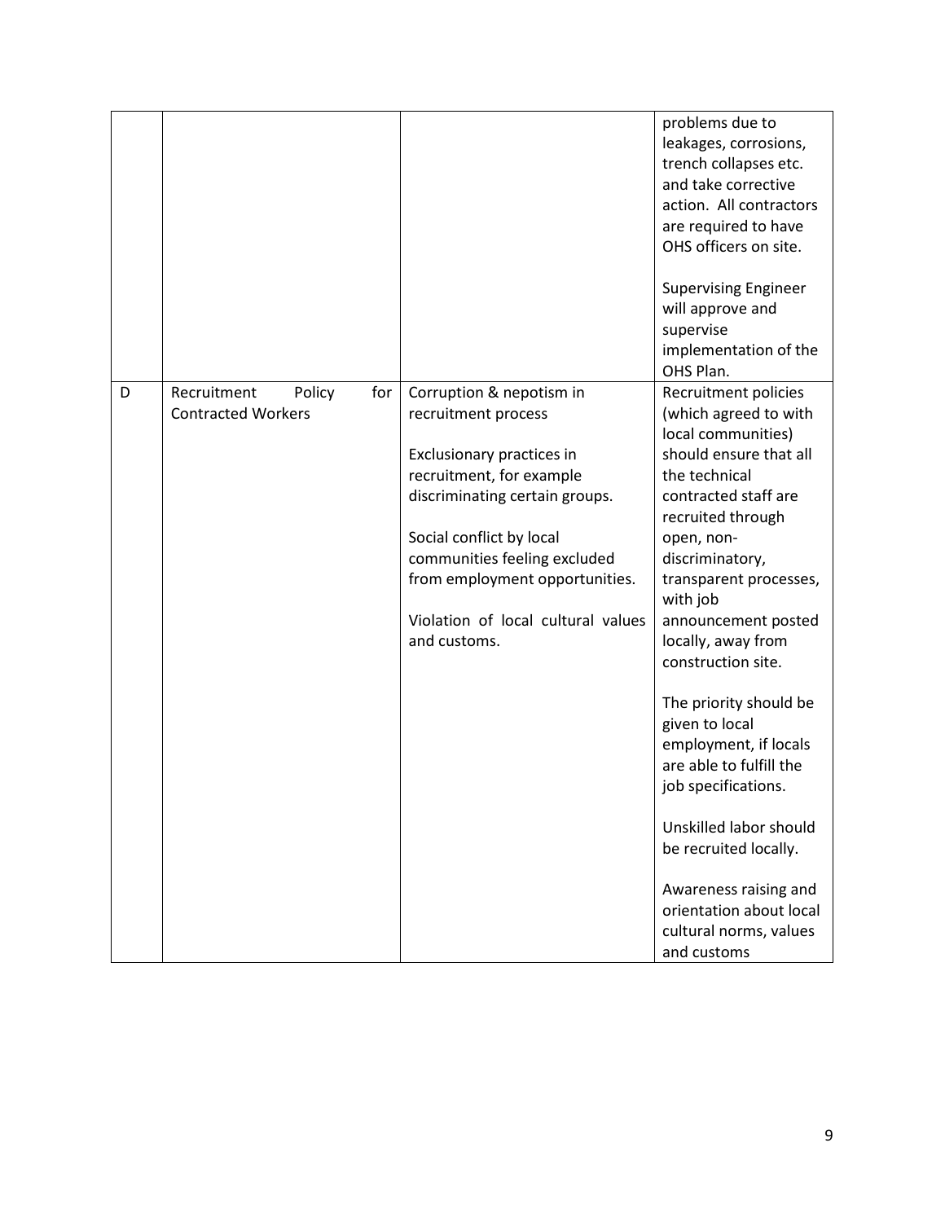|   |                                                    |     |                                                                                                          | problems due to<br>leakages, corrosions,<br>trench collapses etc.<br>and take corrective<br>action. All contractors<br>are required to have<br>OHS officers on site. |
|---|----------------------------------------------------|-----|----------------------------------------------------------------------------------------------------------|----------------------------------------------------------------------------------------------------------------------------------------------------------------------|
|   |                                                    |     |                                                                                                          | <b>Supervising Engineer</b><br>will approve and<br>supervise<br>implementation of the<br>OHS Plan.                                                                   |
| D | Recruitment<br>Policy<br><b>Contracted Workers</b> | for | Corruption & nepotism in<br>recruitment process<br>Exclusionary practices in<br>recruitment, for example | Recruitment policies<br>(which agreed to with<br>local communities)<br>should ensure that all<br>the technical                                                       |
|   |                                                    |     | discriminating certain groups.<br>Social conflict by local                                               | contracted staff are<br>recruited through<br>open, non-                                                                                                              |
|   |                                                    |     | communities feeling excluded<br>from employment opportunities.                                           | discriminatory,<br>transparent processes,<br>with job                                                                                                                |
|   |                                                    |     | Violation of local cultural values<br>and customs.                                                       | announcement posted<br>locally, away from<br>construction site.                                                                                                      |
|   |                                                    |     |                                                                                                          | The priority should be<br>given to local<br>employment, if locals<br>are able to fulfill the<br>job specifications.                                                  |
|   |                                                    |     |                                                                                                          | Unskilled labor should<br>be recruited locally.                                                                                                                      |
|   |                                                    |     |                                                                                                          | Awareness raising and<br>orientation about local<br>cultural norms, values<br>and customs                                                                            |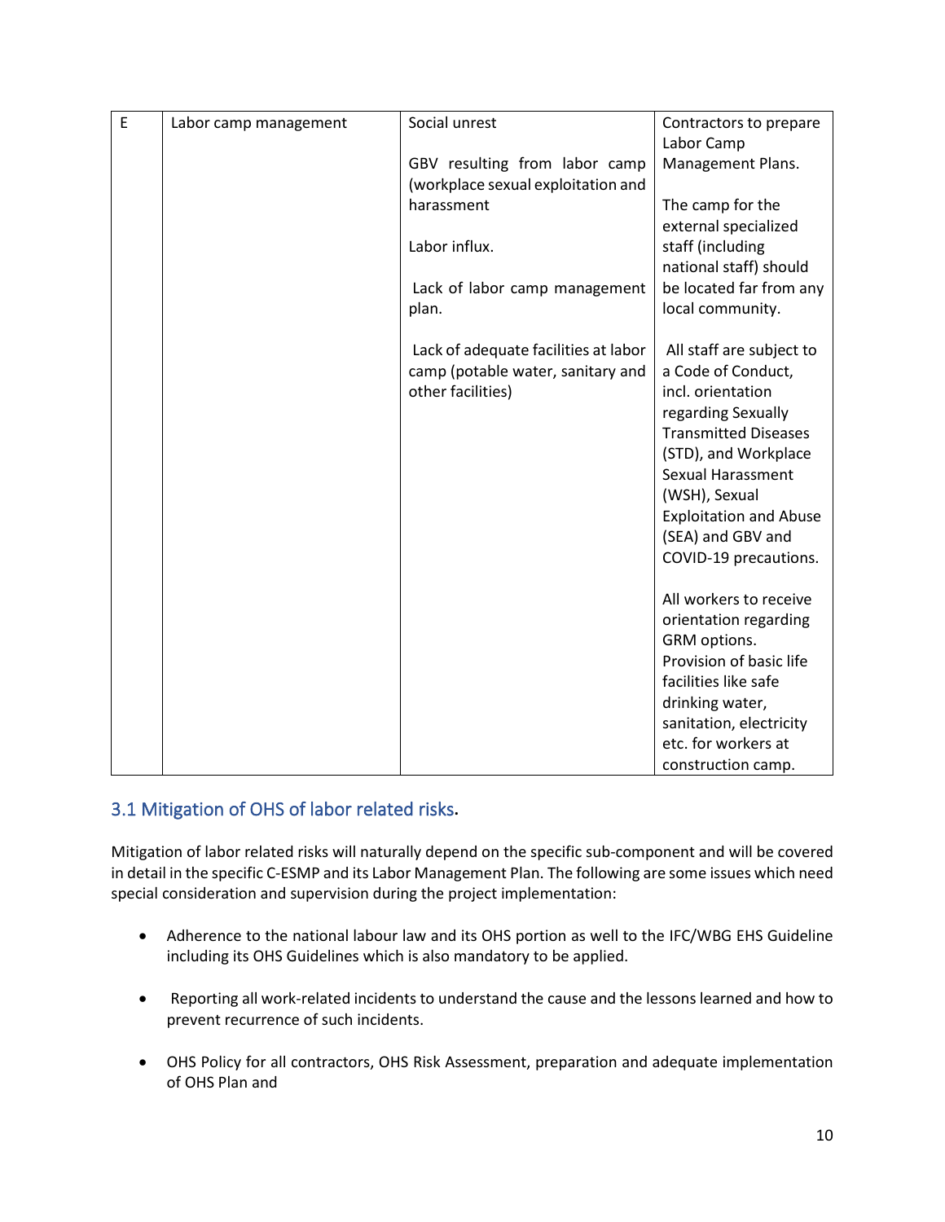| E | Labor camp management | Social unrest                        | Contractors to prepare                           |
|---|-----------------------|--------------------------------------|--------------------------------------------------|
|   |                       |                                      | Labor Camp                                       |
|   |                       | GBV resulting from labor camp        | Management Plans.                                |
|   |                       | (workplace sexual exploitation and   |                                                  |
|   |                       | harassment                           | The camp for the                                 |
|   |                       |                                      | external specialized                             |
|   |                       | Labor influx.                        | staff (including                                 |
|   |                       |                                      | national staff) should                           |
|   |                       | Lack of labor camp management        | be located far from any                          |
|   |                       | plan.                                | local community.                                 |
|   |                       |                                      |                                                  |
|   |                       | Lack of adequate facilities at labor | All staff are subject to                         |
|   |                       | camp (potable water, sanitary and    | a Code of Conduct,                               |
|   |                       | other facilities)                    | incl. orientation                                |
|   |                       |                                      | regarding Sexually                               |
|   |                       |                                      | <b>Transmitted Diseases</b>                      |
|   |                       |                                      | (STD), and Workplace<br><b>Sexual Harassment</b> |
|   |                       |                                      | (WSH), Sexual                                    |
|   |                       |                                      | <b>Exploitation and Abuse</b>                    |
|   |                       |                                      | (SEA) and GBV and                                |
|   |                       |                                      | COVID-19 precautions.                            |
|   |                       |                                      |                                                  |
|   |                       |                                      | All workers to receive                           |
|   |                       |                                      | orientation regarding                            |
|   |                       |                                      | GRM options.                                     |
|   |                       |                                      | Provision of basic life                          |
|   |                       |                                      | facilities like safe                             |
|   |                       |                                      | drinking water,                                  |
|   |                       |                                      | sanitation, electricity                          |
|   |                       |                                      | etc. for workers at                              |
|   |                       |                                      | construction camp.                               |

## <span id="page-10-0"></span>3.1 Mitigation of OHS of labor related risks**.**

Mitigation of labor related risks will naturally depend on the specific sub-component and will be covered in detail in the specific C-ESMP and its Labor Management Plan. The following are some issues which need special consideration and supervision during the project implementation:

- Adherence to the national labour law and its OHS portion as well to the IFC/WBG EHS Guideline including its OHS Guidelines which is also mandatory to be applied.
- Reporting all work-related incidents to understand the cause and the lessons learned and how to prevent recurrence of such incidents.
- OHS Policy for all contractors, OHS Risk Assessment, preparation and adequate implementation of OHS Plan and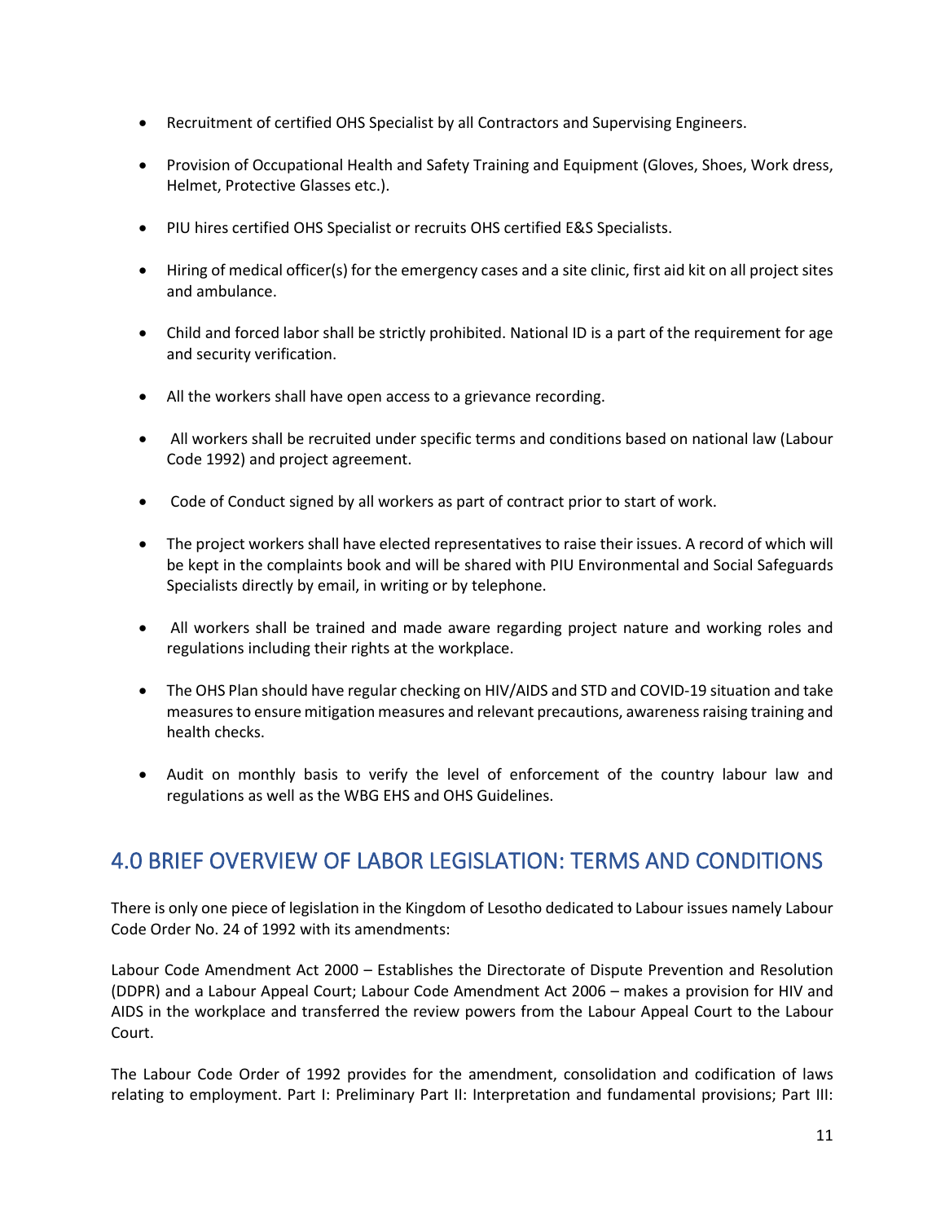- Recruitment of certified OHS Specialist by all Contractors and Supervising Engineers.
- Provision of Occupational Health and Safety Training and Equipment (Gloves, Shoes, Work dress, Helmet, Protective Glasses etc.).
- PIU hires certified OHS Specialist or recruits OHS certified E&S Specialists.
- Hiring of medical officer(s) for the emergency cases and a site clinic, first aid kit on all project sites and ambulance.
- Child and forced labor shall be strictly prohibited. National ID is a part of the requirement for age and security verification.
- All the workers shall have open access to a grievance recording.
- All workers shall be recruited under specific terms and conditions based on national law (Labour Code 1992) and project agreement.
- Code of Conduct signed by all workers as part of contract prior to start of work.
- The project workers shall have elected representatives to raise their issues. A record of which will be kept in the complaints book and will be shared with PIU Environmental and Social Safeguards Specialists directly by email, in writing or by telephone.
- All workers shall be trained and made aware regarding project nature and working roles and regulations including their rights at the workplace.
- The OHS Plan should have regular checking on HIV/AIDS and STD and COVID-19 situation and take measures to ensure mitigation measures and relevant precautions, awareness raising training and health checks.
- Audit on monthly basis to verify the level of enforcement of the country labour law and regulations as well as the WBG EHS and OHS Guidelines.

# <span id="page-11-0"></span>4.0 BRIEF OVERVIEW OF LABOR LEGISLATION: TERMS AND CONDITIONS

There is only one piece of legislation in the Kingdom of Lesotho dedicated to Labour issues namely Labour Code Order No. 24 of 1992 with its amendments:

Labour Code Amendment Act 2000 – Establishes the Directorate of Dispute Prevention and Resolution (DDPR) and a Labour Appeal Court; Labour Code Amendment Act 2006 – makes a provision for HIV and AIDS in the workplace and transferred the review powers from the Labour Appeal Court to the Labour Court.

The Labour Code Order of 1992 provides for the amendment, consolidation and codification of laws relating to employment. Part I: Preliminary Part II: Interpretation and fundamental provisions; Part III: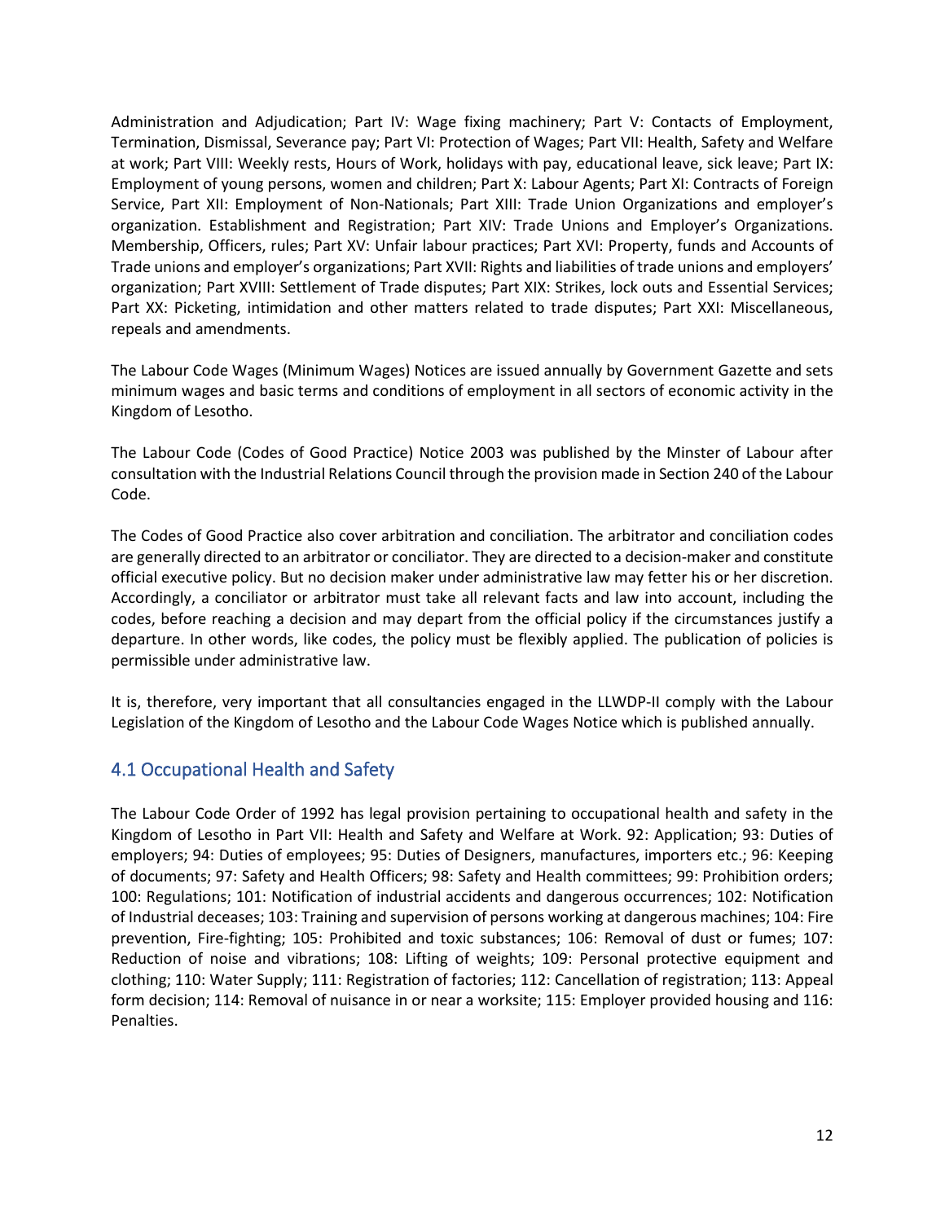Administration and Adjudication; Part IV: Wage fixing machinery; Part V: Contacts of Employment, Termination, Dismissal, Severance pay; Part VI: Protection of Wages; Part VII: Health, Safety and Welfare at work; Part VIII: Weekly rests, Hours of Work, holidays with pay, educational leave, sick leave; Part IX: Employment of young persons, women and children; Part X: Labour Agents; Part XI: Contracts of Foreign Service, Part XII: Employment of Non-Nationals; Part XIII: Trade Union Organizations and employer's organization. Establishment and Registration; Part XIV: Trade Unions and Employer's Organizations. Membership, Officers, rules; Part XV: Unfair labour practices; Part XVI: Property, funds and Accounts of Trade unions and employer's organizations; Part XVII: Rights and liabilities of trade unions and employers' organization; Part XVIII: Settlement of Trade disputes; Part XIX: Strikes, lock outs and Essential Services; Part XX: Picketing, intimidation and other matters related to trade disputes; Part XXI: Miscellaneous, repeals and amendments.

The Labour Code Wages (Minimum Wages) Notices are issued annually by Government Gazette and sets minimum wages and basic terms and conditions of employment in all sectors of economic activity in the Kingdom of Lesotho.

The Labour Code (Codes of Good Practice) Notice 2003 was published by the Minster of Labour after consultation with the Industrial Relations Council through the provision made in Section 240 of the Labour Code.

The Codes of Good Practice also cover arbitration and conciliation. The arbitrator and conciliation codes are generally directed to an arbitrator or conciliator. They are directed to a decision-maker and constitute official executive policy. But no decision maker under administrative law may fetter his or her discretion. Accordingly, a conciliator or arbitrator must take all relevant facts and law into account, including the codes, before reaching a decision and may depart from the official policy if the circumstances justify a departure. In other words, like codes, the policy must be flexibly applied. The publication of policies is permissible under administrative law.

It is, therefore, very important that all consultancies engaged in the LLWDP-II comply with the Labour Legislation of the Kingdom of Lesotho and the Labour Code Wages Notice which is published annually.

## <span id="page-12-0"></span>4.1 Occupational Health and Safety

The Labour Code Order of 1992 has legal provision pertaining to occupational health and safety in the Kingdom of Lesotho in Part VII: Health and Safety and Welfare at Work. 92: Application; 93: Duties of employers; 94: Duties of employees; 95: Duties of Designers, manufactures, importers etc.; 96: Keeping of documents; 97: Safety and Health Officers; 98: Safety and Health committees; 99: Prohibition orders; 100: Regulations; 101: Notification of industrial accidents and dangerous occurrences; 102: Notification of Industrial deceases; 103: Training and supervision of persons working at dangerous machines; 104: Fire prevention, Fire-fighting; 105: Prohibited and toxic substances; 106: Removal of dust or fumes; 107: Reduction of noise and vibrations; 108: Lifting of weights; 109: Personal protective equipment and clothing; 110: Water Supply; 111: Registration of factories; 112: Cancellation of registration; 113: Appeal form decision; 114: Removal of nuisance in or near a worksite; 115: Employer provided housing and 116: Penalties.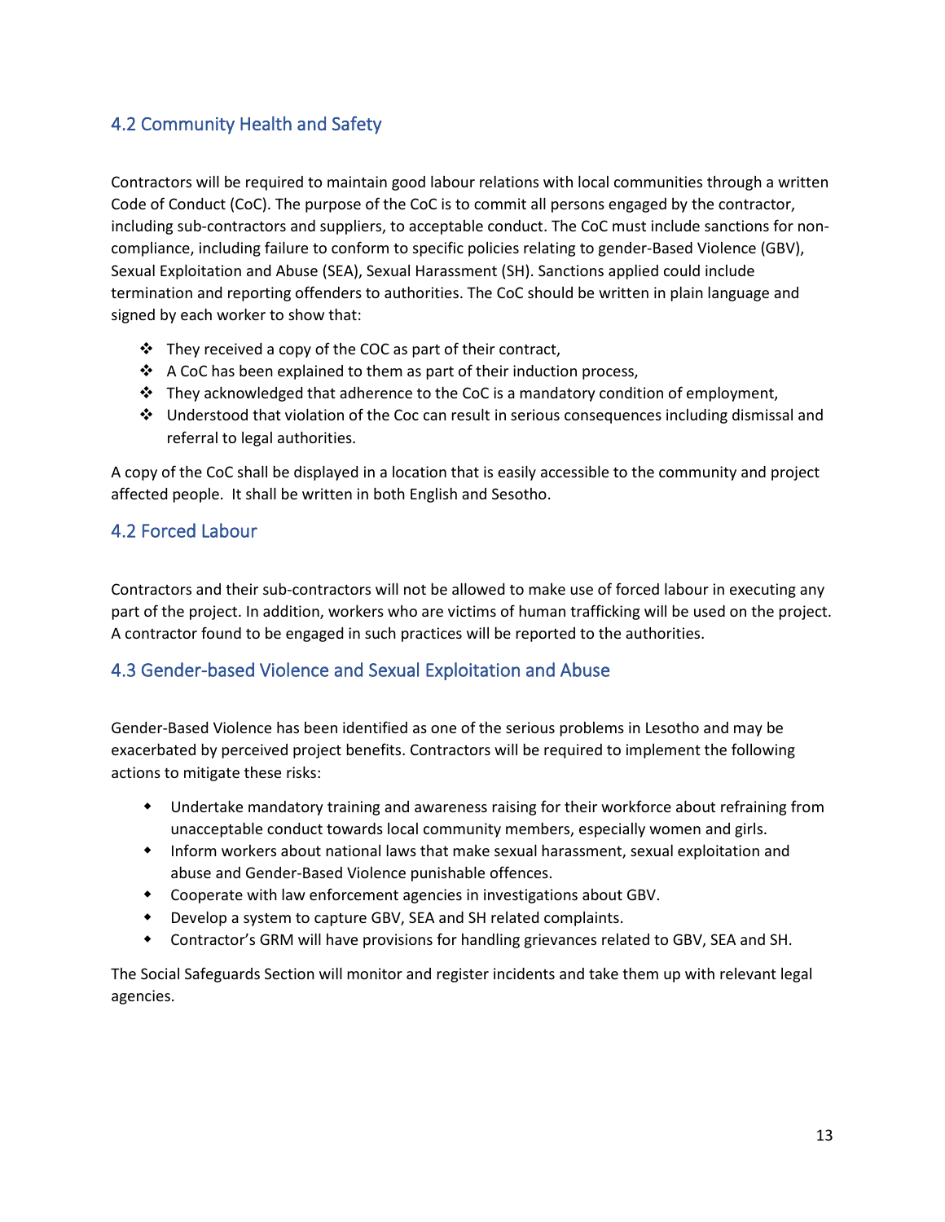## <span id="page-13-0"></span>4.2 Community Health and Safety

Contractors will be required to maintain good labour relations with local communities through a written Code of Conduct (CoC). The purpose of the CoC is to commit all persons engaged by the contractor, including sub-contractors and suppliers, to acceptable conduct. The CoC must include sanctions for noncompliance, including failure to conform to specific policies relating to gender-Based Violence (GBV), Sexual Exploitation and Abuse (SEA), Sexual Harassment (SH). Sanctions applied could include termination and reporting offenders to authorities. The CoC should be written in plain language and signed by each worker to show that:

- $\cdot \cdot$  They received a copy of the COC as part of their contract,
- $\triangleleft$  A CoC has been explained to them as part of their induction process,
- $\div$  They acknowledged that adherence to the CoC is a mandatory condition of employment,
- Understood that violation of the Coc can result in serious consequences including dismissal and referral to legal authorities.

A copy of the CoC shall be displayed in a location that is easily accessible to the community and project affected people. It shall be written in both English and Sesotho.

### <span id="page-13-1"></span>4.2 Forced Labour

Contractors and their sub-contractors will not be allowed to make use of forced labour in executing any part of the project. In addition, workers who are victims of human trafficking will be used on the project. A contractor found to be engaged in such practices will be reported to the authorities.

### <span id="page-13-2"></span>4.3 Gender-based Violence and Sexual Exploitation and Abuse

Gender-Based Violence has been identified as one of the serious problems in Lesotho and may be exacerbated by perceived project benefits. Contractors will be required to implement the following actions to mitigate these risks:

- Undertake mandatory training and awareness raising for their workforce about refraining from unacceptable conduct towards local community members, especially women and girls.
- Inform workers about national laws that make sexual harassment, sexual exploitation and abuse and Gender-Based Violence punishable offences.
- Cooperate with law enforcement agencies in investigations about GBV.
- Develop a system to capture GBV, SEA and SH related complaints.
- Contractor's GRM will have provisions for handling grievances related to GBV, SEA and SH.

The Social Safeguards Section will monitor and register incidents and take them up with relevant legal agencies.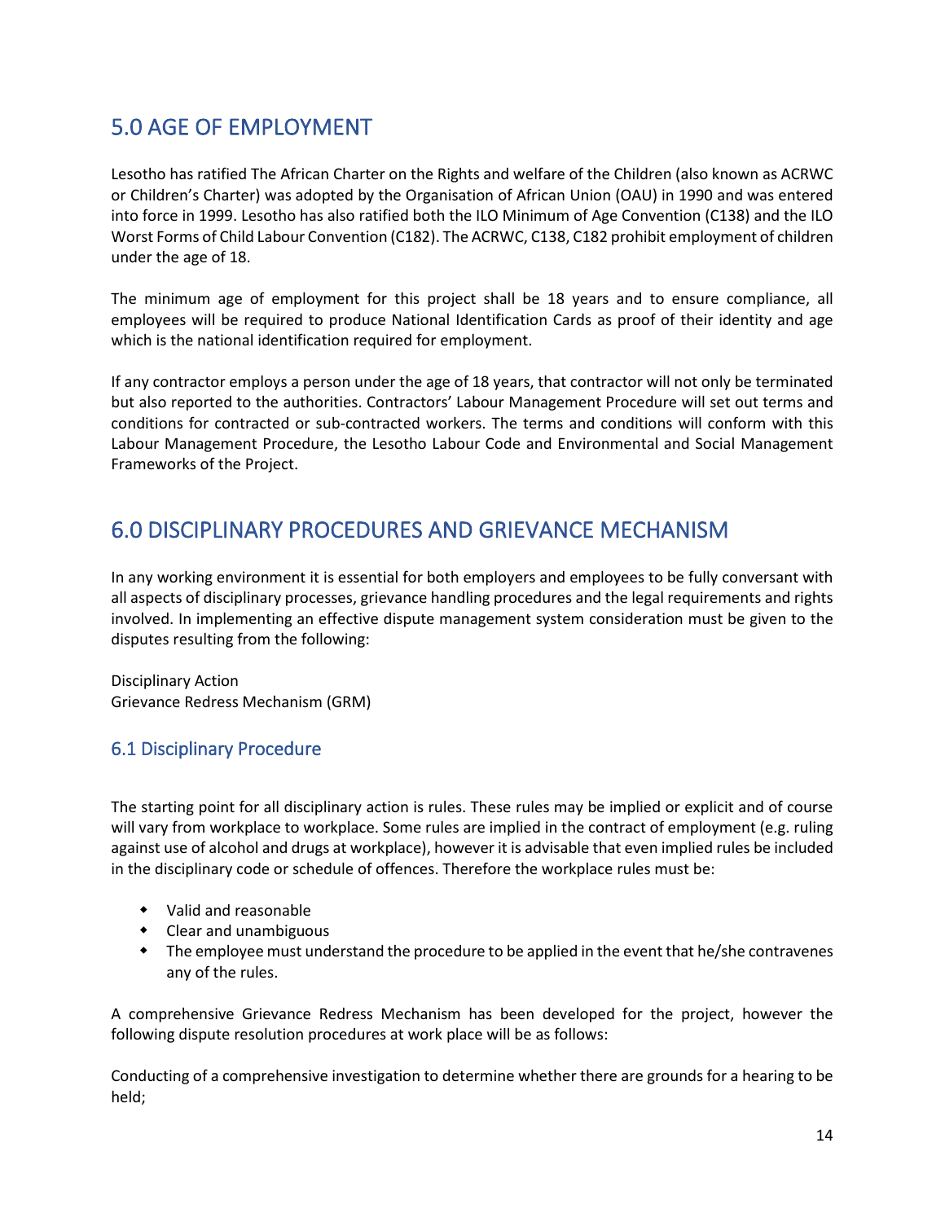# <span id="page-14-0"></span>5.0 AGE OF EMPLOYMENT

Lesotho has ratified The African Charter on the Rights and welfare of the Children (also known as ACRWC or Children's Charter) was adopted by the Organisation of African Union (OAU) in 1990 and was entered into force in 1999. Lesotho has also ratified both the ILO Minimum of Age Convention (C138) and the ILO Worst Forms of Child Labour Convention (C182). The ACRWC, C138, C182 prohibit employment of children under the age of 18.

The minimum age of employment for this project shall be 18 years and to ensure compliance, all employees will be required to produce National Identification Cards as proof of their identity and age which is the national identification required for employment.

If any contractor employs a person under the age of 18 years, that contractor will not only be terminated but also reported to the authorities. Contractors' Labour Management Procedure will set out terms and conditions for contracted or sub-contracted workers. The terms and conditions will conform with this Labour Management Procedure, the Lesotho Labour Code and Environmental and Social Management Frameworks of the Project.

## <span id="page-14-1"></span>6.0 DISCIPLINARY PROCEDURES AND GRIEVANCE MECHANISM

In any working environment it is essential for both employers and employees to be fully conversant with all aspects of disciplinary processes, grievance handling procedures and the legal requirements and rights involved. In implementing an effective dispute management system consideration must be given to the disputes resulting from the following:

Disciplinary Action Grievance Redress Mechanism (GRM)

### <span id="page-14-2"></span>6.1 Disciplinary Procedure

The starting point for all disciplinary action is rules. These rules may be implied or explicit and of course will vary from workplace to workplace. Some rules are implied in the contract of employment (e.g. ruling against use of alcohol and drugs at workplace), however it is advisable that even implied rules be included in the disciplinary code or schedule of offences. Therefore the workplace rules must be:

- Valid and reasonable
- Clear and unambiguous
- The employee must understand the procedure to be applied in the event that he/she contravenes any of the rules.

A comprehensive Grievance Redress Mechanism has been developed for the project, however the following dispute resolution procedures at work place will be as follows:

Conducting of a comprehensive investigation to determine whether there are grounds for a hearing to be held;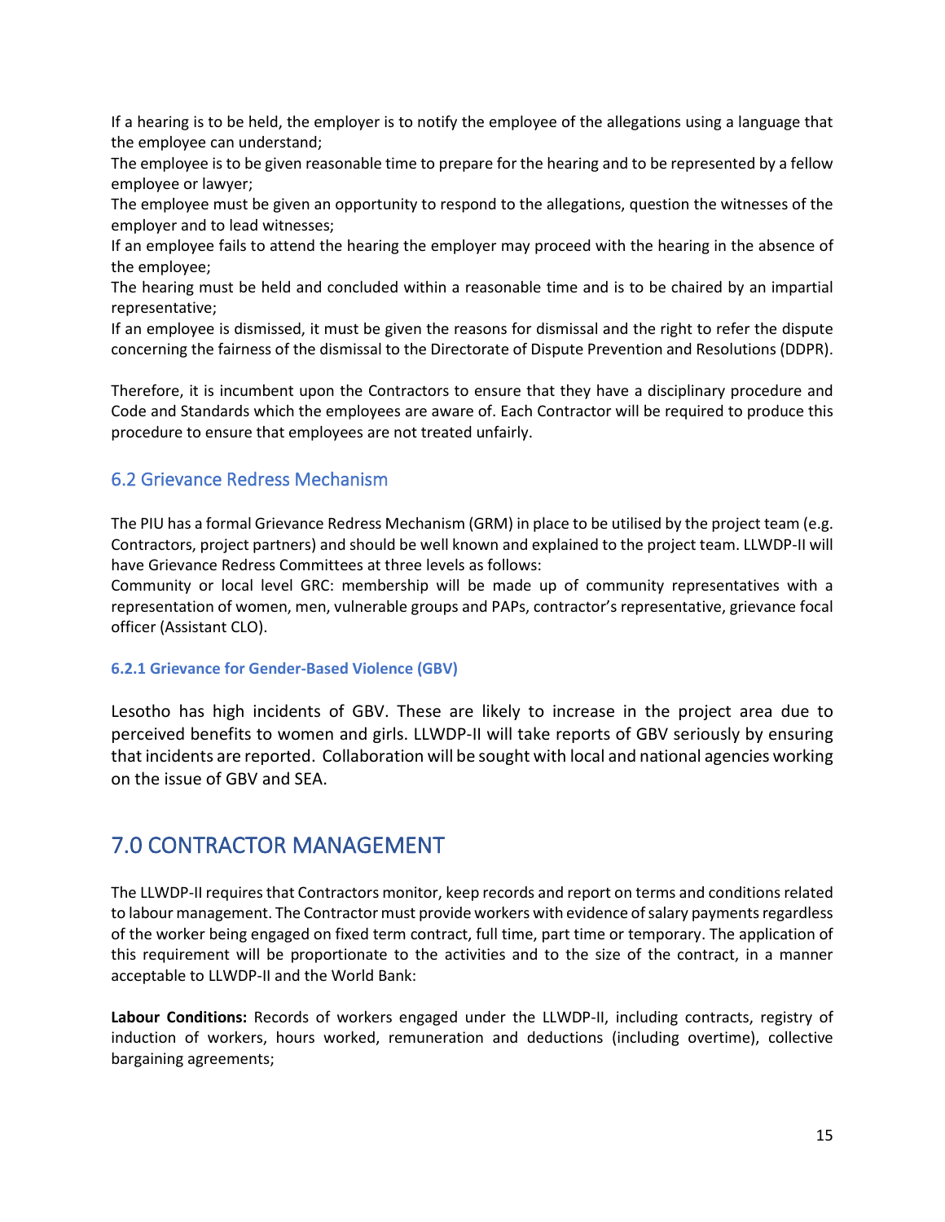If a hearing is to be held, the employer is to notify the employee of the allegations using a language that the employee can understand;

The employee is to be given reasonable time to prepare for the hearing and to be represented by a fellow employee or lawyer;

The employee must be given an opportunity to respond to the allegations, question the witnesses of the employer and to lead witnesses;

If an employee fails to attend the hearing the employer may proceed with the hearing in the absence of the employee;

The hearing must be held and concluded within a reasonable time and is to be chaired by an impartial representative;

If an employee is dismissed, it must be given the reasons for dismissal and the right to refer the dispute concerning the fairness of the dismissal to the Directorate of Dispute Prevention and Resolutions (DDPR).

Therefore, it is incumbent upon the Contractors to ensure that they have a disciplinary procedure and Code and Standards which the employees are aware of. Each Contractor will be required to produce this procedure to ensure that employees are not treated unfairly.

### <span id="page-15-0"></span>6.2 Grievance Redress Mechanism

The PIU has a formal Grievance Redress Mechanism (GRM) in place to be utilised by the project team (e.g. Contractors, project partners) and should be well known and explained to the project team. LLWDP-II will have Grievance Redress Committees at three levels as follows:

Community or local level GRC: membership will be made up of community representatives with a representation of women, men, vulnerable groups and PAPs, contractor's representative, grievance focal officer (Assistant CLO).

#### **6.2.1 Grievance for Gender-Based Violence (GBV)**

Lesotho has high incidents of GBV. These are likely to increase in the project area due to perceived benefits to women and girls. LLWDP-II will take reports of GBV seriously by ensuring that incidents are reported. Collaboration will be sought with local and national agencies working on the issue of GBV and SEA.

## <span id="page-15-1"></span>7.0 CONTRACTOR MANAGEMENT

The LLWDP-II requires that Contractors monitor, keep records and report on terms and conditions related to labour management. The Contractor must provide workers with evidence of salary payments regardless of the worker being engaged on fixed term contract, full time, part time or temporary. The application of this requirement will be proportionate to the activities and to the size of the contract, in a manner acceptable to LLWDP-II and the World Bank:

**Labour Conditions:** Records of workers engaged under the LLWDP-II, including contracts, registry of induction of workers, hours worked, remuneration and deductions (including overtime), collective bargaining agreements;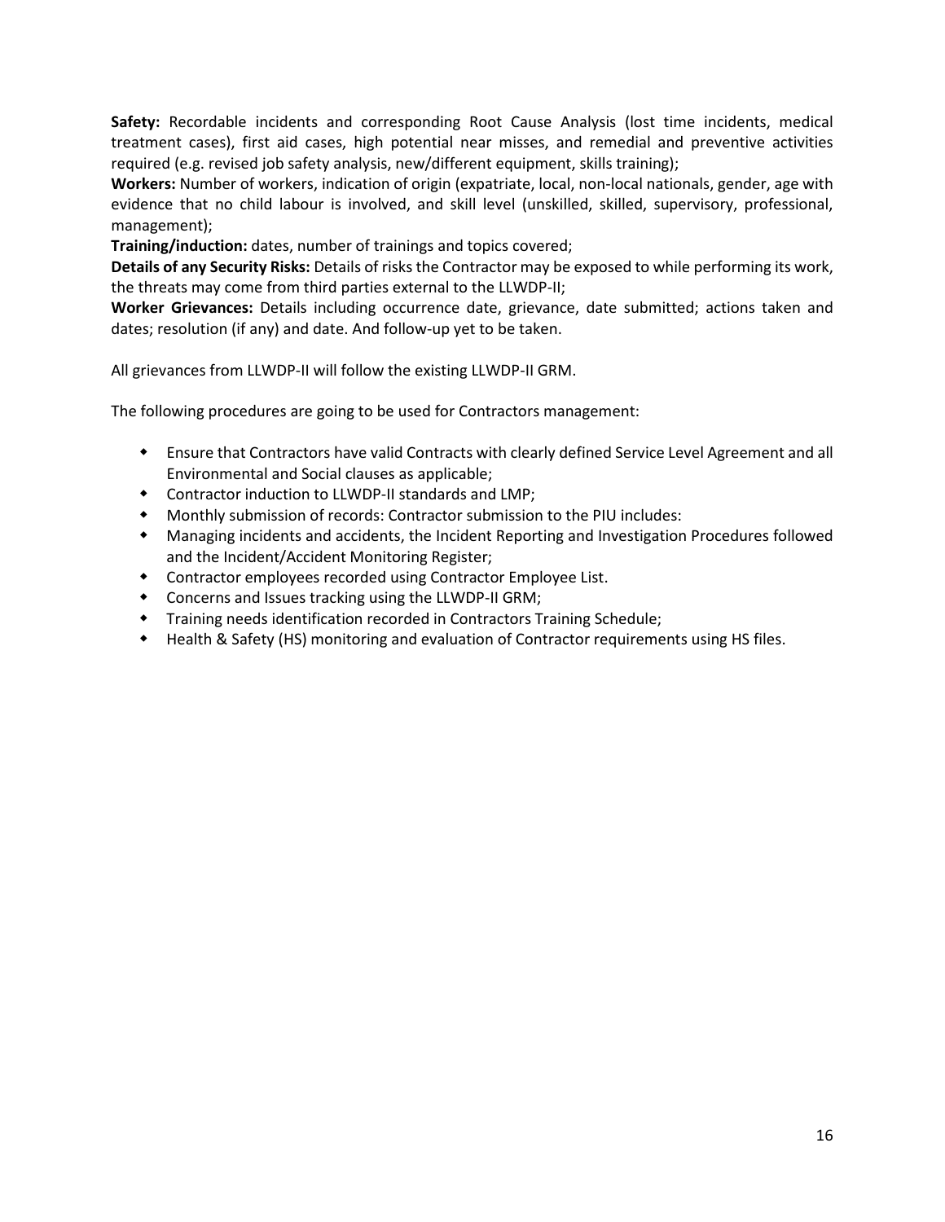**Safety:** Recordable incidents and corresponding Root Cause Analysis (lost time incidents, medical treatment cases), first aid cases, high potential near misses, and remedial and preventive activities required (e.g. revised job safety analysis, new/different equipment, skills training);

**Workers:** Number of workers, indication of origin (expatriate, local, non-local nationals, gender, age with evidence that no child labour is involved, and skill level (unskilled, skilled, supervisory, professional, management);

**Training/induction:** dates, number of trainings and topics covered;

**Details of any Security Risks:** Details of risks the Contractor may be exposed to while performing its work, the threats may come from third parties external to the LLWDP-II;

**Worker Grievances:** Details including occurrence date, grievance, date submitted; actions taken and dates; resolution (if any) and date. And follow-up yet to be taken.

All grievances from LLWDP-II will follow the existing LLWDP-II GRM.

The following procedures are going to be used for Contractors management:

- Ensure that Contractors have valid Contracts with clearly defined Service Level Agreement and all Environmental and Social clauses as applicable;
- Contractor induction to LLWDP-II standards and LMP;
- Monthly submission of records: Contractor submission to the PIU includes:
- Managing incidents and accidents, the Incident Reporting and Investigation Procedures followed and the Incident/Accident Monitoring Register;
- Contractor employees recorded using Contractor Employee List.
- Concerns and Issues tracking using the LLWDP-II GRM;
- Training needs identification recorded in Contractors Training Schedule;
- Health & Safety (HS) monitoring and evaluation of Contractor requirements using HS files.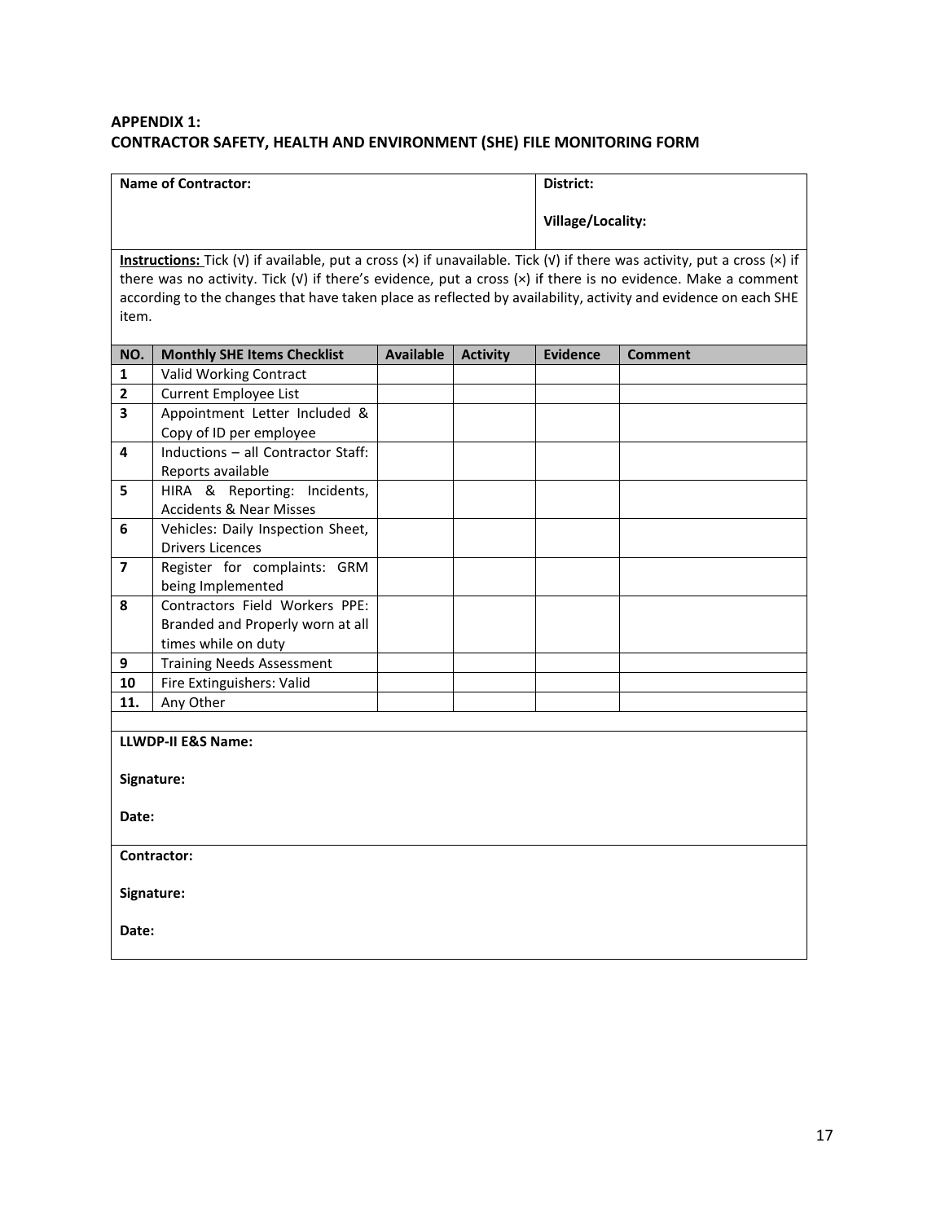### **APPENDIX 1: CONTRACTOR SAFETY, HEALTH AND ENVIRONMENT (SHE) FILE MONITORING FORM**

| <b>Name of Contractor:</b> | District:         |
|----------------------------|-------------------|
|                            | Village/Locality: |

**Instructions:** Tick (√) if available, put a cross (×) if unavailable. Tick (√) if there was activity, put a cross (×) if there was no activity. Tick (√) if there's evidence, put a cross (×) if there is no evidence. Make a comment according to the changes that have taken place as reflected by availability, activity and evidence on each SHE item.

| NO.                     | <b>Monthly SHE Items Checklist</b> | Available | <b>Activity</b> | <b>Evidence</b> | <b>Comment</b> |
|-------------------------|------------------------------------|-----------|-----------------|-----------------|----------------|
| $\mathbf{1}$            | Valid Working Contract             |           |                 |                 |                |
| $\overline{2}$          | <b>Current Employee List</b>       |           |                 |                 |                |
| $\overline{\mathbf{3}}$ | Appointment Letter Included &      |           |                 |                 |                |
|                         | Copy of ID per employee            |           |                 |                 |                |
| 4                       | Inductions - all Contractor Staff: |           |                 |                 |                |
|                         | Reports available                  |           |                 |                 |                |
| 5                       | HIRA & Reporting: Incidents,       |           |                 |                 |                |
|                         | <b>Accidents &amp; Near Misses</b> |           |                 |                 |                |
| 6                       | Vehicles: Daily Inspection Sheet,  |           |                 |                 |                |
|                         | <b>Drivers Licences</b>            |           |                 |                 |                |
| $\overline{7}$          | Register for complaints: GRM       |           |                 |                 |                |
|                         | being Implemented                  |           |                 |                 |                |
| 8                       | Contractors Field Workers PPE:     |           |                 |                 |                |
|                         | Branded and Properly worn at all   |           |                 |                 |                |
|                         | times while on duty                |           |                 |                 |                |
| 9                       | <b>Training Needs Assessment</b>   |           |                 |                 |                |
| 10                      | Fire Extinguishers: Valid          |           |                 |                 |                |
| 11.                     | Any Other                          |           |                 |                 |                |
|                         |                                    |           |                 |                 |                |
|                         | LLWDP-II E&S Name:                 |           |                 |                 |                |
|                         |                                    |           |                 |                 |                |
|                         | Signature:                         |           |                 |                 |                |
|                         |                                    |           |                 |                 |                |
| Date:                   |                                    |           |                 |                 |                |
|                         |                                    |           |                 |                 |                |
|                         | Contractor:                        |           |                 |                 |                |
|                         |                                    |           |                 |                 |                |
|                         | Signature:                         |           |                 |                 |                |
| Date:                   |                                    |           |                 |                 |                |